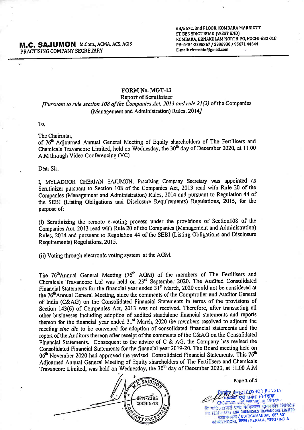68/567C, 2nd FLOOR, KOMBARA MARRIOTT ST. BENEDICT ROAD (WEST END) KOMBARA, ERNAKULAM NORTH P.O. KOCHI-682 018 PH: 0484-2395867 / 2396930 / 95671 44644 E-mail: cfccochin@gmail.com

## FORM No. MGT-13

## Report of Scrutinizer [Pursuant to rule section 108 of the Companies Act, 2013 and rule 21(2) of the Companies (Management and Administration) Rules, 2014J

To,

isi

The Chairman,

of 76<sup>th</sup> Adjourned Annual General Meeting of Equity shareholders of The Fertilisers and Chemicals Travancore Limited, held on Wednesday, the 30<sup>th</sup> day of December 2020, at 11.00 A.M through Video Conferencing (VC)

Dear Sir,

I, MYLADOOR CHERIAN SAJUMON, Practising Company Secretary was appointed as Scrutinizer pursuant to Section 108 of the Companies Act, 2013 read with Rule 20 of the Companies (Management and Administration) Rules, 2014 and pursuant to Regulation 44 of the SEBI (Listing Obligations and Disclosure Requirements) Regulations, 2015, for the purpose of:

(i) Scrutinizing the remote e-voting process under the provisions of Sectlonl0S of the Companies Act, 2013 read with Rule 20 of the Companies (Management and Administration) Rules, 2014 and pursuant to Regulation 44 of the SEBI (Listing Obligations and Disclosure Requirements) Regulations, 2015.

(ii) Voting through electronic voting system at the AGM.

The 76<sup>th</sup>Annual General Meeting (76<sup>th</sup> AGM) of the members of The Fertilisers and Chemicals Travancore Ltd was held on 23<sup>rd</sup> September 2020. The Audited Consolidated Financial Statements for the financial year ended 31<sup>st</sup> March, 2020 could not be considered at the 76<sup>th</sup>Annual General Meeting, since the comments of the Comptroller and Auditor General of India (C&AG) on the Consolidated Financial Statements in terms of the provisions of Section 143(6) of Companies Act, 2013 was not received. Therefore, after transacting all other businesses including adoption of audited standalone financial statements and reports thereon for the financial year ended 31<sup>st</sup> March, 2020 the members resolved to adjourn the meeting sine die to be convened for adoption of consolidated financial statements and the report ofthe Auditors thereon after receipt of the comments of the C&AG on the Consolidated Financial Statements. Consequent to the advice of C & AG, the Company has revised the Consolidated Financial Statements for the ftnancial year 2019-20. The Board meeting held on 06<sup>th</sup> November 2020 had approved the revised Consolidated Financial Statements. This 76<sup>th</sup> Adjourned Annual General Meeting of Equity shareholders of The Fertilisers and Chemicals Travancore Limited, was held on Wednesday, the 30<sup>th</sup> day of December 2020, at 11.00 A.M



Page 1 of 4

**THET LIKISHOR RUNGTA** निदेशक airman and Managing Director दि फर्टिलाइजर्स <mark>एण्ड केमिकल्स ट्रावनकोर</mark> लिमिटेड<br>THE FERTILISERS AND CHEMICALS TRAVANCORE LIMITED  $WY$  SECRET SO THE REGIST RESERVED AND SECRET WITH SALE AND SECRET SO THE SECRET SO THAT  $\frac{1}{\mathcal{R}^2}$  with  $\frac{1}{\mathcal{R}^2}$  (  $\frac{1}{\mathcal{R}^2}$  is  $\frac{1}{\mathcal{R}^2}$  in  $\frac{1}{\mathcal{R}^2}$  is  $\frac{1}{\mathcal{R}^2}$  in  $\frac{1}{\mathcal{R$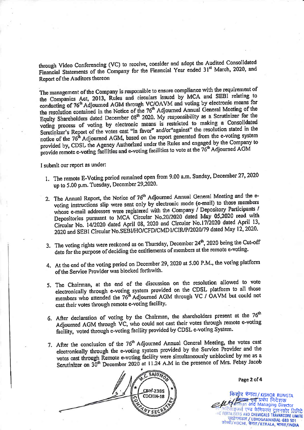through Video Conferencing (VC) to receive, consider and adopt the Audited Consolidated Financial Statements of the Company for the Financial Year ended 31<sup>st</sup> March, 2020, and Report of the Auditors thereon

The management of the Company is responsible to ensure compliance with the requirement of The management of the Company is responsible to ensure compilance with the requirements of<br>the Companies Act, 2013, Rules and circulars issued by MCA and SEBI relating to the Companies Act, 2013, Rules and circulats issued by MCA and SEET Training<br>conducting of 76<sup>th</sup> Adjourned AGM through VC/OAVM and voting by electronic means for conducting of 76<sup>th</sup> Adjourned AGM through VC/OAVM and voting by electronic means for<br>the resolution contained in the Notice of the 76<sup>th</sup> Adjourned Annual General Meeting of the<br>Equity Shareholders dated December 08<sup>th</sup> voting process of voting by electronic means is restricted to making a Consolidated<br>Scrutinizer's Report of the votes cast "in favor" and/or"against" the resolution stated in the notice of the 76<sup>th</sup> Adjourned AGM, based on the report generated from the e-voting system provided by, CDSL the Agency Authorized under the Rules and engaged by the Company to provide remote e-voting facilities and e-voting facilities to vote at the 76<sup>th</sup> Adjourned AGM

I submit our report as under:

- l. The remote E-Voting period remained open from 9.00 a.m. Sunday, December 27,2020 up to 5.00 p.m. Tuesday, December 29,2020.
- 2. The Annual Report, the Notice of 76<sup>th</sup> Adjourned Annual General Meeting and the evoting instructions slip were sent only by electronic mode (e-mail) to those members whose e-mail addresses were registered with the Company / Depository Participants / Depositories pursuant to MCA Circular No.20/2020 dated May 05,2020 read with Circular No. 14/2020 dated April 08, 2020 and Circular No.17/2020 dated April 13, 2020 and SEBI Circular No.SEBI/HO/CFD/CMD I/CIR/P/2020/79 dated May 12, 2020.
- 3. The voting rights were reckoned as on Thursday, December  $24<sup>th</sup>$ , 2020 being the Cut-off date for the purpose of deciding the entitlements of members at the remote e-voting.
- 4. At the end of the voting period on December 29, 2020 at 5.00 P.M., the voting platform of the Service Provider was blocked forthwith.
- 5. The Chairman, at the end of the discussion on the resolution allowed to vote electronically through e-voting system provided on the CDSL platform to all those members who attended the 76<sup>th</sup> Adjourned AGM through VC / OAVM but could not cast their votes through remote e-voting facility.
- 6. After declaration of voting by the Chairman, the shareholders present at the  $76<sup>th</sup>$ Adjourned AGM through VC, who could not cast their votes through remote e-voting facility, voted through e-voting facility provided by CDSL e-voting System.
- 7. After the conclusion of the 76<sup>th</sup> Adjourned Annual General Meeting, the votes cast electronically through the e-voting system provided by the Service Provider and the votes cast through Remote e-voting facility were simultaneously unblocked by me as a Scrutinizer on 30<sup>th</sup> December 2020 at 11.24 A.M in the presence of Mrs. Febsy Jacob



Page 2 of 4

किशोर रुंगटा/KISHOR RUNGTA and. Managing' Director W qw \*ffi +;#-;+>han and Managing Director कोच्ची/ KOCHI, केरल/KERALA, **भारत/INDIA**<br>कोच्ची/ KOCHI, केरल/KERALA, **भारत/INDIA**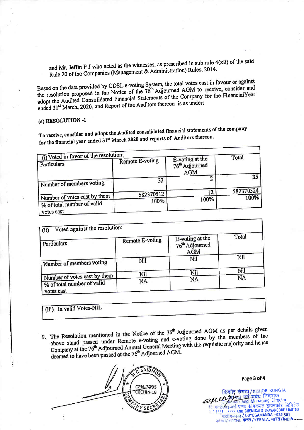and Mr. Jeffin P J who acted as the witnesses, as prescribed in sub rule 4(xii) of the said Rule 20 of the Companies (Management & Administration) Rules, 2014.

Based on the data provided by CDSL e-voting System, the total votes cast in favour or against the resolution proposed in the Notice of the 76<sup>th</sup> Adjourned AGM to receive, consider and adopt the Audited Consolidated Financial Statements of the Company for the FinancialYear ended 31<sup>st</sup> March, 2020, and Report of the Auditors thereon is as under:

(a) RESOLUTION-1

To receive, consider and adopt the Audited consolidated financial statements of the company for the financial year ended 31st March 2020 and reports of Auditors thereon.

| (i) Voted in favor of the resolution:<br>Particulars                     | Remote E-voting | E-voting at the<br>76 <sup>th</sup> Adjourned<br><b>AGM</b> | Total     |
|--------------------------------------------------------------------------|-----------------|-------------------------------------------------------------|-----------|
| Number of members voting                                                 | 33              |                                                             | 35        |
|                                                                          | 582370512       | 12                                                          | 582370524 |
| Number of votes cast by them<br>% of total number of valid<br>votes cast | 100%            | 100%                                                        | 100%      |

| Particulars                                                              | Remote E-voting | E-voting at the<br>76 <sup>th</sup> Adjourned<br>AGM | Total |
|--------------------------------------------------------------------------|-----------------|------------------------------------------------------|-------|
| Number of members voting                                                 | Nil             | Nil                                                  | Nil   |
|                                                                          | Nil             | Nil                                                  | Nil   |
| Number of votes cast by them<br>% of total number of valid<br>votes cast | NA              | NA                                                   | NA    |

(iii) In valid Votes-NIL

9. The Resolution mentioned in the Notice of the 76<sup>th</sup> Adjourned AGM as per details given above stand passed under Remote e-voting and e-voting done by the members of the Company at the 76<sup>th</sup> Adjourned Annual General Meeting with the requisite majority and hence deemed to have been passed at the 76<sup>th</sup> Adjourned AGM.

**SAIUM** CPN-2385 COCHIN-18 とくどく

Page 3 of 4

किशोर रुंगटा / KISHOR RUNGTA

THE FERTILISERS AND CHEMICALS TRAVANCORE LIMITED उद्योगमंडल / UDYOGAMANDAL-683 501 कोच्ची/ KOCHI, केरल/KERALA, भारत/INDIA

क्ष एवं प्रबंध निदेशक in and Managing Director दे फर्टिलाइजर्स एण्ड केमिकल्स ट्रावनकोर लिमिटेड